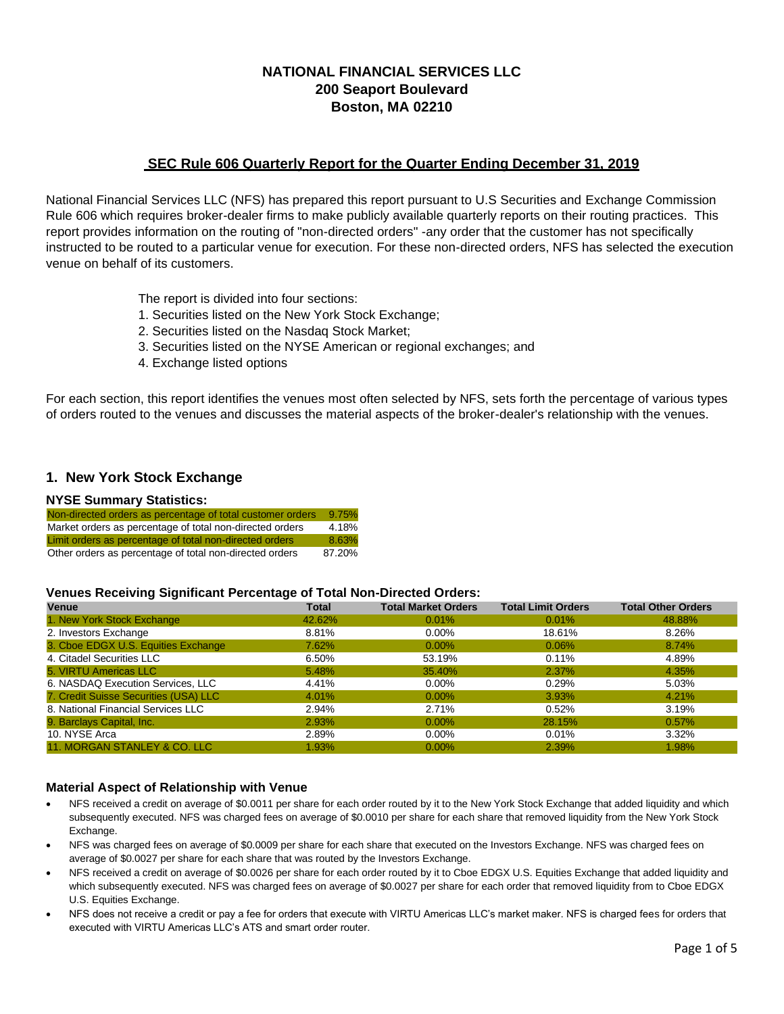# **NATIONAL FINANCIAL SERVICES LLC 200 Seaport Boulevard Boston, MA 02210**

## **SEC Rule 606 Quarterly Report for the Quarter Ending December 31, 2019**

National Financial Services LLC (NFS) has prepared this report pursuant to U.S Securities and Exchange Commission Rule 606 which requires broker-dealer firms to make publicly available quarterly reports on their routing practices. This report provides information on the routing of "non-directed orders" -any order that the customer has not specifically instructed to be routed to a particular venue for execution. For these non-directed orders, NFS has selected the execution venue on behalf of its customers.

The report is divided into four sections:

- 1. Securities listed on the New York Stock Exchange;
- 2. Securities listed on the Nasdaq Stock Market;
- 3. Securities listed on the NYSE American or regional exchanges; and
- 4. Exchange listed options

For each section, this report identifies the venues most often selected by NFS, sets forth the percentage of various types of orders routed to the venues and discusses the material aspects of the broker-dealer's relationship with the venues.

## **1. New York Stock Exchange**

#### **NYSE Summary Statistics:**

| Non-directed orders as percentage of total customer orders | 9.75%  |
|------------------------------------------------------------|--------|
| Market orders as percentage of total non-directed orders   | 4.18%  |
| Limit orders as percentage of total non-directed orders    | 8.63%  |
| Other orders as percentage of total non-directed orders    | 87.20% |

#### **Venues Receiving Significant Percentage of Total Non-Directed Orders:**

| --<br>Venue                           | Total  | <b>Total Market Orders</b> | <b>Total Limit Orders</b> | <b>Total Other Orders</b> |
|---------------------------------------|--------|----------------------------|---------------------------|---------------------------|
| 1. New York Stock Exchange            | 42.62% | 0.01%                      | 0.01%                     | 48.88%                    |
| 2. Investors Exchange                 | 8.81%  | $0.00\%$                   | 18.61%                    | 8.26%                     |
| 3. Cboe EDGX U.S. Equities Exchange   | 7.62%  | $0.00\%$                   | 0.06%                     | 8.74%                     |
| 4. Citadel Securities LLC             | 6.50%  | 53.19%                     | 0.11%                     | 4.89%                     |
| 5. VIRTU Americas LLC                 | 5.48%  | 35.40%                     | 2.37%                     | 4.35%                     |
| 6. NASDAQ Execution Services, LLC     | 4.41%  | $0.00\%$                   | 0.29%                     | 5.03%                     |
| 7. Credit Suisse Securities (USA) LLC | 4.01%  | $0.00\%$                   | 3.93%                     | 4.21%                     |
| 8. National Financial Services LLC    | 2.94%  | 2.71%                      | 0.52%                     | 3.19%                     |
| 9. Barclays Capital, Inc.             | 2.93%  | $0.00\%$                   | 28.15%                    | 0.57%                     |
| 10. NYSE Arca                         | 2.89%  | $0.00\%$                   | 0.01%                     | 3.32%                     |
| 11. MORGAN STANLEY & CO. LLC          | 1.93%  | $0.00\%$                   | 2.39%                     | 1.98%                     |

### **Material Aspect of Relationship with Venue**

- NFS received a credit on average of \$0.0011 per share for each order routed by it to the New York Stock Exchange that added liquidity and which subsequently executed. NFS was charged fees on average of \$0.0010 per share for each share that removed liquidity from the New York Stock Exchange.
- NFS was charged fees on average of \$0.0009 per share for each share that executed on the Investors Exchange. NFS was charged fees on average of \$0.0027 per share for each share that was routed by the Investors Exchange.
- NFS received a credit on average of \$0.0026 per share for each order routed by it to Cboe EDGX U.S. Equities Exchange that added liquidity and which subsequently executed. NFS was charged fees on average of \$0.0027 per share for each order that removed liquidity from to Cboe EDGX U.S. Equities Exchange.
- NFS does not receive a credit or pay a fee for orders that execute with VIRTU Americas LLC's market maker. NFS is charged fees for orders that executed with VIRTU Americas LLC's ATS and smart order router.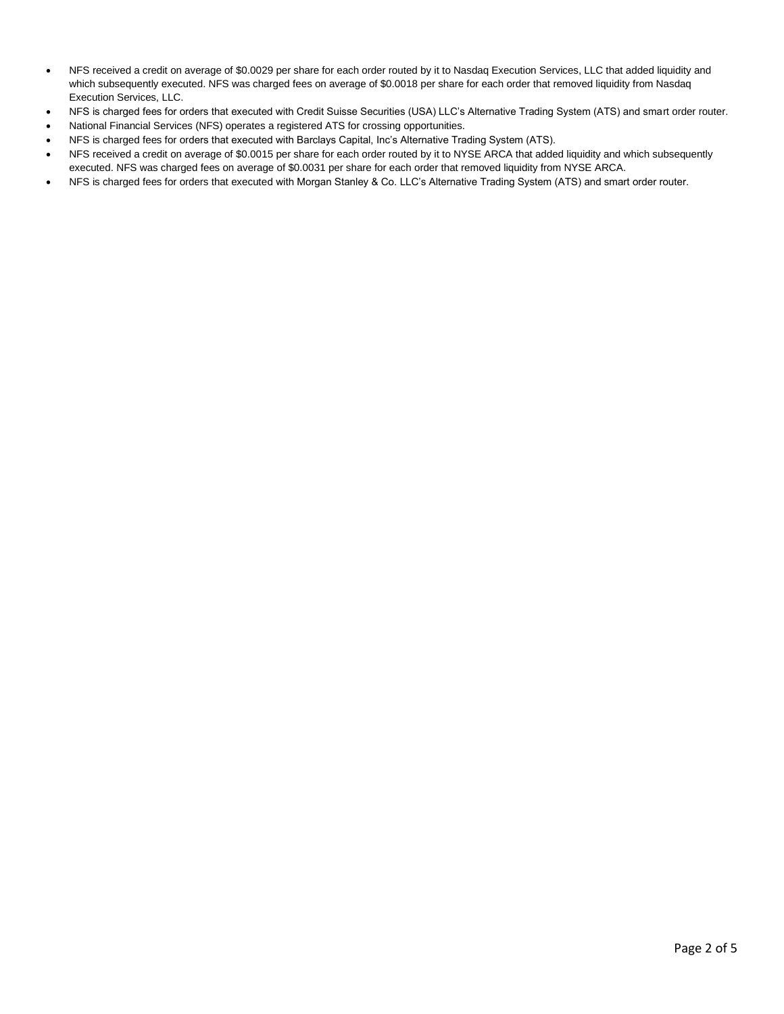- NFS received a credit on average of \$0.0029 per share for each order routed by it to Nasdaq Execution Services, LLC that added liquidity and which subsequently executed. NFS was charged fees on average of \$0.0018 per share for each order that removed liquidity from Nasdaq Execution Services, LLC.
- NFS is charged fees for orders that executed with Credit Suisse Securities (USA) LLC's Alternative Trading System (ATS) and smart order router.
- National Financial Services (NFS) operates a registered ATS for crossing opportunities.
- NFS is charged fees for orders that executed with Barclays Capital, Inc's Alternative Trading System (ATS).
- NFS received a credit on average of \$0.0015 per share for each order routed by it to NYSE ARCA that added liquidity and which subsequently executed. NFS was charged fees on average of \$0.0031 per share for each order that removed liquidity from NYSE ARCA.
- NFS is charged fees for orders that executed with Morgan Stanley & Co. LLC's Alternative Trading System (ATS) and smart order router.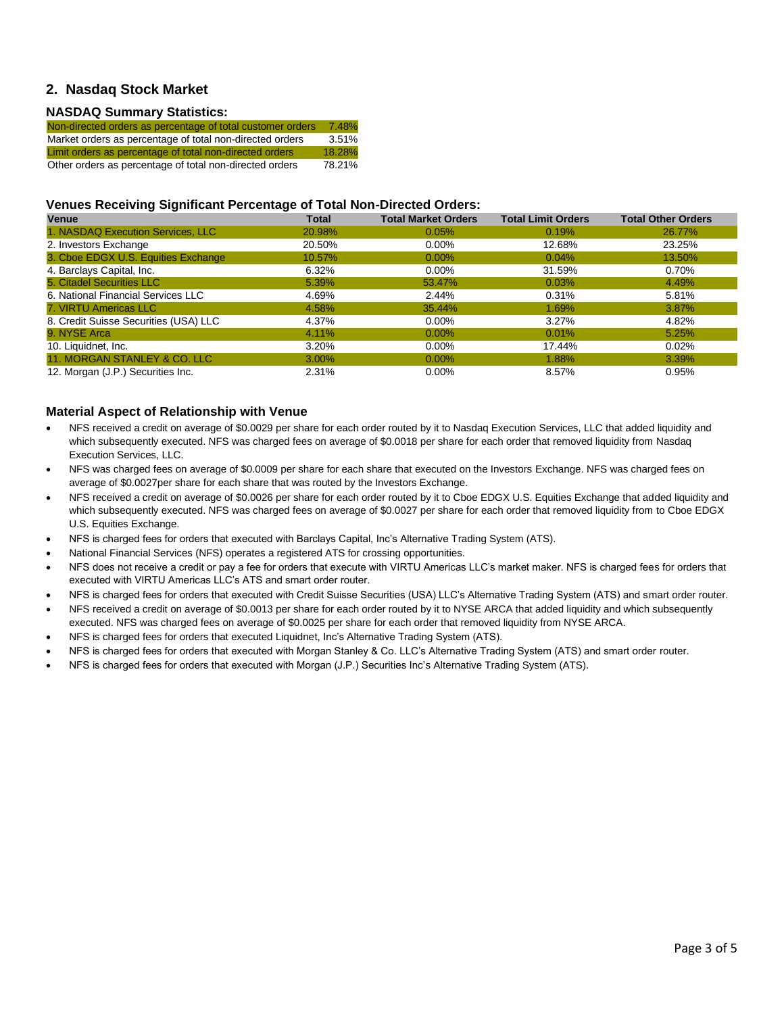## **2. Nasdaq Stock Market**

#### **NASDAQ Summary Statistics:**

| Non-directed orders as percentage of total customer orders | 7.48%  |
|------------------------------------------------------------|--------|
| Market orders as percentage of total non-directed orders   | 3.51%  |
| Limit orders as percentage of total non-directed orders    | 18.28% |
| Other orders as percentage of total non-directed orders    | 78.21% |

### **Venues Receiving Significant Percentage of Total Non-Directed Orders:**

| <b>Venue</b>                          | <b>Total</b> | <b>Total Market Orders</b> | <b>Total Limit Orders</b> | <b>Total Other Orders</b> |
|---------------------------------------|--------------|----------------------------|---------------------------|---------------------------|
| 1. NASDAQ Execution Services, LLC     | 20.98%       | 0.05%                      | 0.19%                     | 26.77%                    |
| 2. Investors Exchange                 | 20.50%       | $0.00\%$                   | 12.68%                    | 23.25%                    |
| 3. Cboe EDGX U.S. Equities Exchange   | 10.57%       | $0.00\%$                   | $0.04\%$                  | 13.50%                    |
| 4. Barclays Capital, Inc.             | 6.32%        | $0.00\%$                   | 31.59%                    | 0.70%                     |
| 5. Citadel Securities LLC             | 5.39%        | 53.47%                     | 0.03%                     | 4.49%                     |
| 6. National Financial Services LLC    | 4.69%        | 2.44%                      | 0.31%                     | 5.81%                     |
| 7. VIRTU Americas LLC                 | 4.58%        | 35.44%                     | 1.69%                     | 3.87%                     |
| 8. Credit Suisse Securities (USA) LLC | 4.37%        | $0.00\%$                   | 3.27%                     | 4.82%                     |
| 9. NYSE Arca                          | 4.11%        | $0.00\%$                   | 0.01%                     | 5.25%                     |
| 10. Liquidnet, Inc.                   | 3.20%        | $0.00\%$                   | 17.44%                    | $0.02\%$                  |
| 11. MORGAN STANLEY & CO. LLC          | $3.00\%$     | $0.00\%$                   | 1.88%                     | 3.39%                     |
| 12. Morgan (J.P.) Securities Inc.     | 2.31%        | $0.00\%$                   | 8.57%                     | 0.95%                     |

#### **Material Aspect of Relationship with Venue**

- NFS received a credit on average of \$0.0029 per share for each order routed by it to Nasdaq Execution Services, LLC that added liquidity and which subsequently executed. NFS was charged fees on average of \$0.0018 per share for each order that removed liquidity from Nasdaq Execution Services, LLC.
- NFS was charged fees on average of \$0.0009 per share for each share that executed on the Investors Exchange. NFS was charged fees on average of \$0.0027per share for each share that was routed by the Investors Exchange.
- NFS received a credit on average of \$0.0026 per share for each order routed by it to Cboe EDGX U.S. Equities Exchange that added liquidity and which subsequently executed. NFS was charged fees on average of \$0.0027 per share for each order that removed liquidity from to Cboe EDGX U.S. Equities Exchange.
- NFS is charged fees for orders that executed with Barclays Capital, Inc's Alternative Trading System (ATS).
- National Financial Services (NFS) operates a registered ATS for crossing opportunities.
- NFS does not receive a credit or pay a fee for orders that execute with VIRTU Americas LLC's market maker. NFS is charged fees for orders that executed with VIRTU Americas LLC's ATS and smart order router.
- NFS is charged fees for orders that executed with Credit Suisse Securities (USA) LLC's Alternative Trading System (ATS) and smart order router.
- NFS received a credit on average of \$0.0013 per share for each order routed by it to NYSE ARCA that added liquidity and which subsequently executed. NFS was charged fees on average of \$0.0025 per share for each order that removed liquidity from NYSE ARCA.
- NFS is charged fees for orders that executed Liquidnet, Inc's Alternative Trading System (ATS).
- NFS is charged fees for orders that executed with Morgan Stanley & Co. LLC's Alternative Trading System (ATS) and smart order router.
- NFS is charged fees for orders that executed with Morgan (J.P.) Securities Inc's Alternative Trading System (ATS).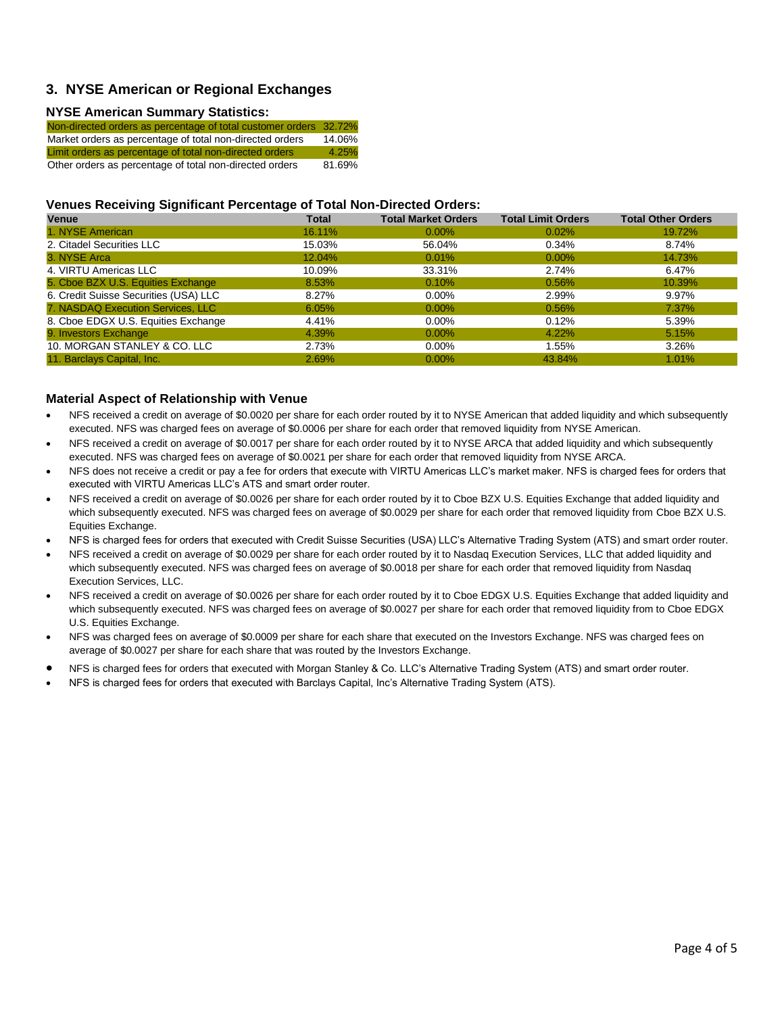## **3. NYSE American or Regional Exchanges**

#### **NYSE American Summary Statistics:**

| Non-directed orders as percentage of total customer orders 32.72% |        |
|-------------------------------------------------------------------|--------|
| Market orders as percentage of total non-directed orders          | 14.06% |
| Limit orders as percentage of total non-directed orders           | 4.25%  |
| Other orders as percentage of total non-directed orders           | 81.69% |

### **Venues Receiving Significant Percentage of Total Non-Directed Orders:**

| <b>Venue</b>                          | <b>Total</b> | <b>Total Market Orders</b> | <b>Total Limit Orders</b> | <b>Total Other Orders</b> |
|---------------------------------------|--------------|----------------------------|---------------------------|---------------------------|
| 1. NYSE American                      | 16.11%       | $0.00\%$                   | $0.02\%$                  | 19.72%                    |
| 2. Citadel Securities LLC             | 15.03%       | 56.04%                     | $0.34\%$                  | 8.74%                     |
| 3. NYSE Arca                          | 12.04%       | 0.01%                      | $0.00\%$                  | 14.73%                    |
| 4. VIRTU Americas LLC                 | 10.09%       | 33.31%                     | 2.74%                     | 6.47%                     |
| 5. Cboe BZX U.S. Equities Exchange    | 8.53%        | 0.10%                      | 0.56%                     | 10.39%                    |
| 6. Credit Suisse Securities (USA) LLC | 8.27%        | $0.00\%$                   | 2.99%                     | 9.97%                     |
| 7. NASDAQ Execution Services, LLC     | 6.05%        | $0.00\%$                   | 0.56%                     | 7.37%                     |
| 8. Cboe EDGX U.S. Equities Exchange   | 4.41%        | $0.00\%$                   | 0.12%                     | 5.39%                     |
| 9. Investors Exchange                 | 4.39%        | $0.00\%$                   | 4.22%                     | 5.15%                     |
| 10. MORGAN STANLEY & CO. LLC          | 2.73%        | $0.00\%$                   | 1.55%                     | 3.26%                     |
| 11. Barclays Capital, Inc.            | 2.69%        | $0.00\%$                   | 43.84%                    | 1.01%                     |

#### **Material Aspect of Relationship with Venue**

- NFS received a credit on average of \$0.0020 per share for each order routed by it to NYSE American that added liquidity and which subsequently executed. NFS was charged fees on average of \$0.0006 per share for each order that removed liquidity from NYSE American.
- NFS received a credit on average of \$0.0017 per share for each order routed by it to NYSE ARCA that added liquidity and which subsequently executed. NFS was charged fees on average of \$0.0021 per share for each order that removed liquidity from NYSE ARCA.
- NFS does not receive a credit or pay a fee for orders that execute with VIRTU Americas LLC's market maker. NFS is charged fees for orders that executed with VIRTU Americas LLC's ATS and smart order router.
- NFS received a credit on average of \$0.0026 per share for each order routed by it to Cboe BZX U.S. Equities Exchange that added liquidity and which subsequently executed. NFS was charged fees on average of \$0.0029 per share for each order that removed liquidity from Cboe BZX U.S. Equities Exchange.
- NFS is charged fees for orders that executed with Credit Suisse Securities (USA) LLC's Alternative Trading System (ATS) and smart order router.
- NFS received a credit on average of \$0.0029 per share for each order routed by it to Nasdaq Execution Services, LLC that added liquidity and which subsequently executed. NFS was charged fees on average of \$0.0018 per share for each order that removed liquidity from Nasdaq Execution Services, LLC.
- NFS received a credit on average of \$0.0026 per share for each order routed by it to Cboe EDGX U.S. Equities Exchange that added liquidity and which subsequently executed. NFS was charged fees on average of \$0.0027 per share for each order that removed liquidity from to Cboe EDGX U.S. Equities Exchange.
- NFS was charged fees on average of \$0.0009 per share for each share that executed on the Investors Exchange. NFS was charged fees on average of \$0.0027 per share for each share that was routed by the Investors Exchange.
- NFS is charged fees for orders that executed with Morgan Stanley & Co. LLC's Alternative Trading System (ATS) and smart order router.
- NFS is charged fees for orders that executed with Barclays Capital, Inc's Alternative Trading System (ATS).